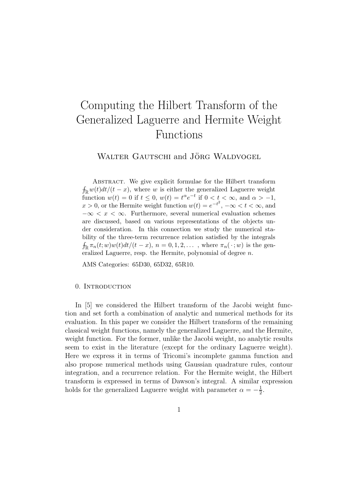# Computing the Hilbert Transform of the Generalized Laguerre and Hermite Weight Functions

WALTER GAUTSCHI and JÖRG WALDVOGEL

Abstract. We give explicit formulae for the Hilbert transform  $\oint_{\mathbb{R}} w(t)dt/(t-x)$ , where w is either the generalized Laguerre weight function  $w(t) = 0$  if  $t \leq 0$ ,  $w(t) = t^{\alpha} e^{-t}$  if  $0 < t < \infty$ , and  $\alpha > -1$ ,  $x > 0$ , or the Hermite weight function  $w(t) = e^{-t^2}$ ,  $-\infty < t < \infty$ , and  $-\infty < x < \infty$ . Furthermore, several numerical evaluation schemes are discussed, based on various representations of the objects under consideration. In this connection we study the numerical stability of the three-term recurrence relation satisfied by the integrals  $\int_{\mathbb{R}} \pi_n(t; w) w(t) dt/(t-x), n = 0, 1, 2, \ldots$ , where  $\pi_n(\cdot; w)$  is the generalized Laguerre, resp. the Hermite, polynomial of degree  $n$ .

AMS Categories: 65D30, 65D32, 65R10.

#### 0. Introduction

In [5] we considered the Hilbert transform of the Jacobi weight function and set forth a combination of analytic and numerical methods for its evaluation. In this paper we consider the Hilbert transform of the remaining classical weight functions, namely the generalized Laguerre, and the Hermite, weight function. For the former, unlike the Jacobi weight, no analytic results seem to exist in the literature (except for the ordinary Laguerre weight). Here we express it in terms of Tricomi's incomplete gamma function and also propose numerical methods using Gaussian quadrature rules, contour integration, and a recurrence relation. For the Hermite weight, the Hilbert transform is expressed in terms of Dawson's integral. A similar expression holds for the generalized Laguerre weight with parameter  $\alpha = -\frac{1}{2}$  $\frac{1}{2}$ .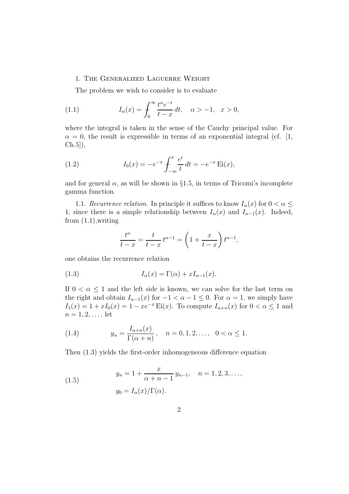#### 1. The Generalized Laguerre Weight

The problem we wish to consider is to evaluate

(1.1) 
$$
I_{\alpha}(x) = \int_0^{\infty} \frac{t^{\alpha} e^{-t}}{t - x} dt, \quad \alpha > -1, \quad x > 0,
$$

where the integral is taken in the sense of the Cauchy principal value. For  $\alpha = 0$ , the result is expressible in terms of an exponential integral (cf. [1, Ch.5]),

(1.2) 
$$
I_0(x) = -e^{-x} \int_{-\infty}^x \frac{e^t}{t} dt = -e^{-x} \operatorname{Ei}(x),
$$

and for general  $\alpha$ , as will be shown in §1.5, in terms of Tricomi's incomplete gamma function.

1.1. Recurrence relation. In principle it suffices to know  $I_{\alpha}(x)$  for  $0 < \alpha \leq$ 1, since there is a simple relationship between  $I_{\alpha}(x)$  and  $I_{\alpha-1}(x)$ . Indeed, from  $(1.1)$ , writing

$$
\frac{t^{\alpha}}{t-x} = \frac{t}{t-x} t^{\alpha-1} = \left(1 + \frac{x}{t-x}\right) t^{\alpha-1},
$$

one obtains the recurrence relation

(1.3) 
$$
I_{\alpha}(x) = \Gamma(\alpha) + xI_{\alpha-1}(x).
$$

If  $0 < \alpha \leq 1$  and the left side is known, we can solve for the last term on the right and obtain  $I_{\alpha-1}(x)$  for  $-1 < \alpha - 1 \leq 0$ . For  $\alpha = 1$ , we simply have  $I_1(x) = 1 + xI_0(x) = 1 - xe^{-x}$  Ei(x). To compute  $I_{\alpha+n}(x)$  for  $0 < \alpha \leq 1$  and  $n = 1, 2, \ldots$ , let

(1.4) 
$$
y_n = \frac{I_{\alpha+n}(x)}{\Gamma(\alpha+n)}, \quad n = 0, 1, 2, \dots, \quad 0 < \alpha \le 1.
$$

Then (1.3) yields the first-order inhomogeneous difference equation

(1.5) 
$$
y_n = 1 + \frac{x}{\alpha + n - 1} y_{n-1}, \quad n = 1, 2, 3, \dots,
$$

$$
y_0 = I_{\alpha}(x) / \Gamma(\alpha).
$$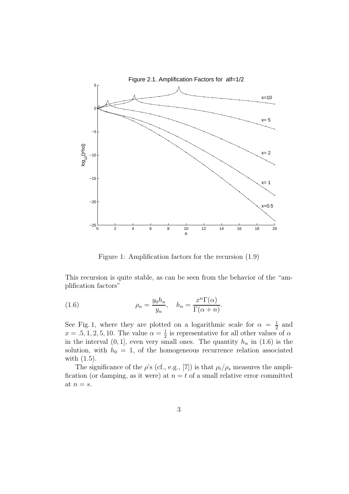

Figure 1: Amplification factors for the recursion (1.9)

This recursion is quite stable, as can be seen from the behavior of the "amplification factors"

(1.6) 
$$
\rho_n = \frac{y_0 h_n}{y_n}, \quad h_n = \frac{x^n \Gamma(\alpha)}{\Gamma(\alpha + n)}.
$$

See Fig. 1, where they are plotted on a logarithmic scale for  $\alpha = \frac{1}{2}$  $rac{1}{2}$  and  $x = .5, 1, 2, 5, 10$ . The value  $\alpha = \frac{1}{2}$  $\frac{1}{2}$  is representative for all other values of  $\alpha$ in the interval  $(0, 1]$ , even very small ones. The quantity  $h_n$  in  $(1.6)$  is the solution, with  $h_0 = 1$ , of the homogeneous recurrence relation associated with (1.5).

The significance of the  $\rho$ 's (cf., e.g., [7]) is that  $\rho_t/\rho_s$  measures the amplification (or damping, as it were) at  $n = t$  of a small relative error committed at  $n = s$ .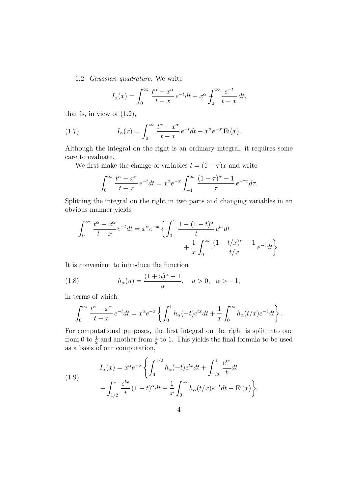1.2. Gaussian quadrature. We write

$$
I_{\alpha}(x) = \int_0^{\infty} \frac{t^{\alpha} - x^{\alpha}}{t - x} e^{-t} dt + x^{\alpha} \int_0^{\infty} \frac{e^{-t}}{t - x} dt,
$$

that is, in view of  $(1.2)$ ,

(1.7) 
$$
I_{\alpha}(x) = \int_0^{\infty} \frac{t^{\alpha} - x^{\alpha}}{t - x} e^{-t} dt - x^{\alpha} e^{-x} \operatorname{Ei}(x).
$$

Although the integral on the right is an ordinary integral, it requires some care to evaluate.

We first make the change of variables  $t = (1 + \tau)x$  and write

$$
\int_0^\infty \frac{t^\alpha - x^\alpha}{t - x} e^{-t} dt = x^\alpha e^{-x} \int_{-1}^\infty \frac{(1 + \tau)^\alpha - 1}{\tau} e^{-\tau x} d\tau.
$$

Splitting the integral on the right in two parts and changing variables in an obvious manner yields

$$
\int_0^\infty \frac{t^\alpha - x^\alpha}{t - x} e^{-t} dt = x^\alpha e^{-x} \left\{ \int_0^1 \frac{1 - (1 - t)^\alpha}{t} e^{tx} dt + \frac{1}{x} \int_0^\infty \frac{(1 + t/x)^\alpha - 1}{t/x} e^{-t} dt \right\}.
$$

It is convenient to introduce the function

(1.8) 
$$
h_{\alpha}(u) = \frac{(1+u)^{\alpha} - 1}{u}, \quad u > 0, \quad \alpha > -1,
$$

in terms of which

$$
\int_0^\infty \frac{t^\alpha - x^\alpha}{t - x} e^{-t} dt = x^\alpha e^{-x} \left\{ \int_0^1 h_\alpha(-t) e^{tx} dt + \frac{1}{x} \int_0^\infty h_\alpha(t/x) e^{-t} dt \right\}.
$$

For computational purposes, the first integral on the right is split into one from 0 to  $\frac{1}{2}$  and another from  $\frac{1}{2}$  to 1. This yields the final formula to be used as a basis of our computation,

(1.9) 
$$
I_{\alpha}(x) = x^{\alpha} e^{-x} \left\{ \int_0^{1/2} h_{\alpha}(-t) e^{tx} dt + \int_{1/2}^1 \frac{e^{tx}}{t} dt - \int_{1/2}^1 \frac{e^{tx}}{t} dt - \int_{1/2}^1 \frac{e^{tx}}{t} (1-t)^{\alpha} dt + \frac{1}{x} \int_0^{\infty} h_{\alpha}(t/x) e^{-t} dt - \text{Ei}(x) \right\}.
$$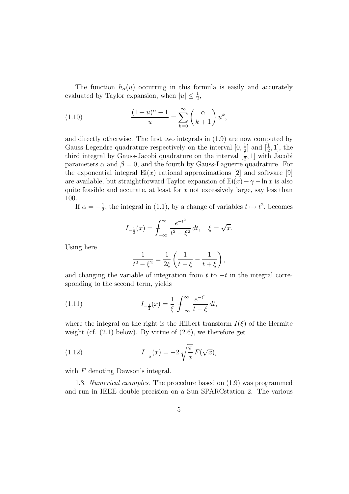The function  $h_{\alpha}(u)$  occurring in this formula is easily and accurately evaluated by Taylor expansion, when  $|u| \leq \frac{1}{2}$  $\frac{1}{2}$ ,

(1.10) 
$$
\frac{(1+u)^{\alpha}-1}{u} = \sum_{k=0}^{\infty} \binom{\alpha}{k+1} u^k,
$$

and directly otherwise. The first two integrals in (1.9) are now computed by Gauss-Legendre quadrature respectively on the interval  $[0, \frac{1}{2}]$  $\frac{1}{2}$  and  $\left[\frac{1}{2}\right]$  $\frac{1}{2}$ , 1], the third integral by Gauss-Jacobi quadrature on the interval  $\left[\frac{1}{2}\right]$  $\frac{1}{2}$ , 1 with Jacobi parameters  $\alpha$  and  $\beta = 0$ , and the fourth by Gauss-Laguerre quadrature. For the exponential integral  $Ei(x)$  rational approximations [2] and software [9] are available, but straightforward Taylor expansion of  $Ei(x) - \gamma - \ln x$  is also quite feasible and accurate, at least for  $x$  not excessively large, say less than 100.

If  $\alpha = -\frac{1}{2}$  $\frac{1}{2}$ , the integral in (1.1), by a change of variables  $t \mapsto t^2$ , becomes

$$
I_{-\frac{1}{2}}(x) = \int_{-\infty}^{\infty} \frac{e^{-t^2}}{t^2 - \xi^2} dt, \quad \xi = \sqrt{x}.
$$

Using here

$$
\frac{1}{t^2 - \xi^2} = \frac{1}{2\xi} \left( \frac{1}{t - \xi} - \frac{1}{t + \xi} \right),
$$

and changing the variable of integration from t to  $-t$  in the integral corresponding to the second term, yields

(1.11) 
$$
I_{-\frac{1}{2}}(x) = \frac{1}{\xi} \int_{-\infty}^{\infty} \frac{e^{-t^2}}{t - \xi} dt,
$$

where the integral on the right is the Hilbert transform  $I(\xi)$  of the Hermite weight (cf.  $(2.1)$  below). By virtue of  $(2.6)$ , we therefore get

(1.12) 
$$
I_{-\frac{1}{2}}(x) = -2\sqrt{\frac{\pi}{x}} F(\sqrt{x}),
$$

with  $F$  denoting Dawson's integral.

1.3. Numerical examples. The procedure based on (1.9) was programmed and run in IEEE double precision on a Sun SPARCstation 2. The various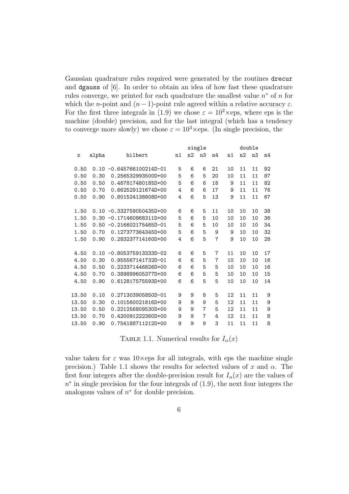Gaussian quadrature rules required were generated by the routines drecur and dgauss of [6]. In order to obtain an idea of how fast these quadrature rules converge, we printed for each quadrature the smallest value  $n^*$  of n for which the *n*-point and  $(n-1)$ -point rule agreed within a relative accuracy  $\varepsilon$ . For the first three integrals in (1.9) we chose  $\varepsilon = 10^2 \times eps$ , where eps is the machine (double) precision, and for the last integral (which has a tendency to converge more slowly) we chose  $\varepsilon = 10^3 \times$ eps. (In single precision, the

|       |       |                               | single |    |                |                |    | double |                |    |  |
|-------|-------|-------------------------------|--------|----|----------------|----------------|----|--------|----------------|----|--|
| x     | alpha | hilbert                       | n1     | n2 | n3             | n4             | n1 | n2     | n <sub>3</sub> | n4 |  |
| 0.50  | 0.10  | $-0.645766100214D-01$         | 5      | 6  | 6              | 21             | 10 | 11     | 11             | 92 |  |
| 0.50  | 0.30  | 0.256532993500D+00            | 5      | 6  | 5              | 20             | 10 | 11     | 11             | 87 |  |
| 0.50  | 0.50  | 0.487817480185D+00            | 5      | 6  | 6              | 18             | 9  | 11     | 11             | 82 |  |
| 0.50  | 0.70  | 0.662529121674D+00            | 4      | 6  | 6              | 17             | 9  | 11     | 11             | 76 |  |
| 0.50  | 0.90  | 0.801524138808D+00            | 4      | 6  | 5              | 13             | 9  | 11     | 11             | 67 |  |
|       |       |                               |        |    |                |                |    |        |                |    |  |
| 1.50  |       | $0.10 - 0.332759050435D+00$   | 6      | 6  | 5              | 11             | 10 | 10     | 10             | 38 |  |
| 1.50  |       | $0.30 -0.171460868311D+00$    | 5      | 6  | 5              | 10             | 10 | 10     | 10             | 36 |  |
| 1.50  |       | $0.50 - 0.216602175465D - 01$ | 5      | 6  | 5              | 10             | 10 | 10     | 10             | 34 |  |
| 1.50  | 0.70  | 0.127377364345D+00            | 5      | 6  | 5              | 9              | 9  | 10     | 10             | 32 |  |
| 1.50  | 0.90  | 0.283237714160D+00            | 4      | 6  | 5              | $\overline{7}$ | 9  | 10     | 10             | 28 |  |
|       |       |                               |        |    |                |                |    |        |                |    |  |
| 4.50  | 0.10  | $-0.805375913333D-02$         | 6      | 6  | 5              | $\overline{7}$ | 11 | 10     | 10             | 17 |  |
| 4.50  | 0.30  | 0.955567141732D-01            | 6      | 6  | 5              | $\overline{7}$ | 10 | 10     | 10             | 16 |  |
| 4.50  | 0.50  | 0.223371446826D+00            | 6      | 6  | 5              | 5              | 10 | 10     | 10             | 16 |  |
| 4.50  | 0.70  | 0.389899605377D+00            | 6      | 6  | 5              | 5              | 10 | 10     | 10             | 15 |  |
| 4.50  | 0.90  | 0.612817575593D+00            | 6      | 6  | 5              | 5              | 10 | 10     | 10             | 14 |  |
|       |       |                               |        |    |                |                |    |        |                |    |  |
| 13.50 | 0.10  | 0.271303905850D-01            | 9      | 9  | 8              | 5              | 12 | 11     | 11             | 9  |  |
| 13.50 | 0.30  | 0.101560021816D+00            | 9      | 9  | 9              | 5              | 12 | 11     | 11             | 9  |  |
| 13.50 | 0.50  | 0.221256809530D+00            | 9      | 9  | $\overline{7}$ | 5              | 12 | 11     | 11             | 9  |  |
| 13.50 | 0.70  | 0.420091222360D+00            | 9      | 9  | 7              | 4              | 12 | 11     | 11             | 8  |  |
| 13.50 | 0.90  | 0.754188711212D+00            | 9      | 9  | 9              | 3              | 11 | 11     | 11             | 8  |  |
|       |       |                               |        |    |                |                |    |        |                |    |  |

TABLE 1.1. Numerical results for  $I_{\alpha}(x)$ 

value taken for  $\varepsilon$  was 10×eps for all integrals, with eps the machine single precision.) Table 1.1 shows the results for selected values of x and  $\alpha$ . The first four integers after the double-precision result for  $I_{\alpha}(x)$  are the values of  $n^*$  in single precision for the four integrals of  $(1.9)$ , the next four integers the analogous values of  $n^*$  for double precision.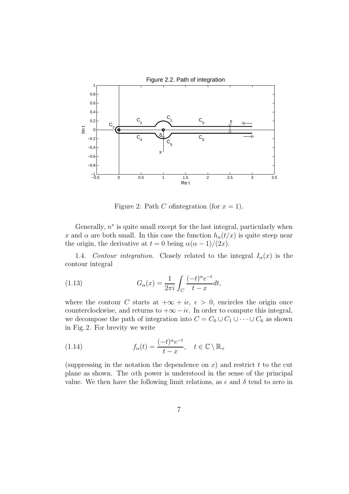

Figure 2: Path C of integration (for  $x = 1$ ).

Generally,  $n^*$  is quite small except for the last integral, particularly when x and  $\alpha$  are both small. In this case the function  $h_{\alpha}(t/x)$  is quite steep near the origin, the derivative at  $t = 0$  being  $\alpha(\alpha - 1)/(2x)$ .

1.4. Contour integration. Closely related to the integral  $I_{\alpha}(x)$  is the contour integral

(1.13) 
$$
G_{\alpha}(x) = \frac{1}{2\pi i} \int_C \frac{(-t)^{\alpha} e^{-t}}{t - x} dt,
$$

where the contour C starts at  $+\infty + i\epsilon$ ,  $\epsilon > 0$ , encircles the origin once counterclockwise, and returns to  $+\infty - i\epsilon$ . In order to compute this integral, we decompose the path of integration into  $C = C_0 \cup C_1 \cup \cdots \cup C_6$  as shown in Fig. 2. For brevity we write

(1.14) 
$$
f_{\alpha}(t) = \frac{(-t)^{\alpha} e^{-t}}{t - x}, \quad t \in \mathbb{C} \setminus \mathbb{R}_{+}
$$

(suppressing in the notation the dependence on  $x$ ) and restrict t to the cut plane as shown. The  $\alpha$ th power is understood in the sense of the principal value. We then have the following limit relations, as  $\epsilon$  and  $\delta$  tend to zero in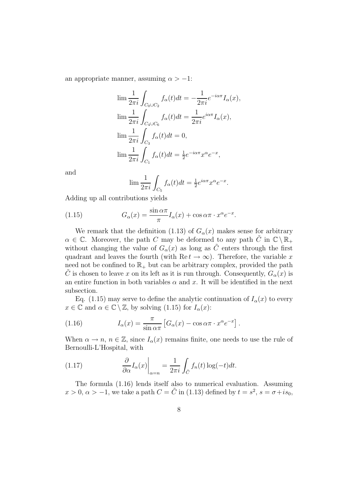an appropriate manner, assuming  $\alpha > -1$ :

$$
\lim \frac{1}{2\pi i} \int_{C_0 \cup C_2} f_{\alpha}(t) dt = -\frac{1}{2\pi i} e^{-i\alpha \pi} I_{\alpha}(x),
$$
  
\n
$$
\lim \frac{1}{2\pi i} \int_{C_4 \cup C_6} f_{\alpha}(t) dt = \frac{1}{2\pi i} e^{i\alpha \pi} I_{\alpha}(x),
$$
  
\n
$$
\lim \frac{1}{2\pi i} \int_{C_3} f_{\alpha}(t) dt = 0,
$$
  
\n
$$
\lim \frac{1}{2\pi i} \int_{C_1} f_{\alpha}(t) dt = \frac{1}{2} e^{-i\alpha \pi} x^{\alpha} e^{-x},
$$

and

$$
\lim \frac{1}{2\pi i} \int_{C_5} f_{\alpha}(t)dt = \frac{1}{2} e^{i\alpha \pi} x^{\alpha} e^{-x}.
$$

Adding up all contributions yields

(1.15) 
$$
G_{\alpha}(x) = \frac{\sin \alpha \pi}{\pi} I_{\alpha}(x) + \cos \alpha \pi \cdot x^{\alpha} e^{-x}.
$$

We remark that the definition (1.13) of  $G_{\alpha}(x)$  makes sense for arbitrary  $\alpha \in \mathbb{C}$ . Moreover, the path C may be deformed to any path C in  $\mathbb{C} \setminus \mathbb{R}_+$ without changing the value of  $G_{\alpha}(x)$  as long as  $\tilde{C}$  enters through the first quadrant and leaves the fourth (with Re  $t \to \infty$ ). Therefore, the variable x need not be confined to  $\mathbb{R}_+$  but can be arbitrary complex, provided the path C is chosen to leave x on its left as it is run through. Consequently,  $G_{\alpha}(x)$  is an entire function in both variables  $\alpha$  and x. It will be identified in the next subsection.

Eq. (1.15) may serve to define the analytic continuation of  $I_{\alpha}(x)$  to every  $x \in \mathbb{C}$  and  $\alpha \in \mathbb{C} \setminus \mathbb{Z}$ , by solving (1.15) for  $I_{\alpha}(x)$ :

(1.16) 
$$
I_{\alpha}(x) = \frac{\pi}{\sin \alpha \pi} \left[ G_{\alpha}(x) - \cos \alpha \pi \cdot x^{\alpha} e^{-x} \right].
$$

When  $\alpha \to n$ ,  $n \in \mathbb{Z}$ , since  $I_{\alpha}(x)$  remains finite, one needs to use the rule of Bernoulli-L'Hospital, with

(1.17) 
$$
\frac{\partial}{\partial \alpha} I_{\alpha}(x) \Big|_{\alpha = n} = \frac{1}{2\pi i} \int_{\tilde{C}} f_n(t) \log(-t) dt.
$$

The formula (1.16) lends itself also to numerical evaluation. Assuming  $x > 0, \alpha > -1$ , we take a path  $C = \tilde{C}$  in (1.13) defined by  $t = s^2, s = \sigma + is_0$ ,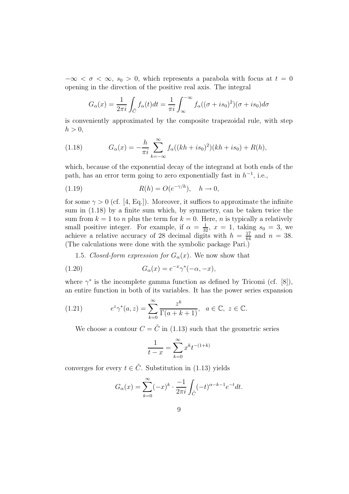$-\infty < \sigma < \infty$ ,  $s_0 > 0$ , which represents a parabola with focus at  $t = 0$ opening in the direction of the positive real axis. The integral

$$
G_{\alpha}(x) = \frac{1}{2\pi i} \int_{\tilde{C}} f_{\alpha}(t)dt = \frac{1}{\pi i} \int_{\infty}^{-\infty} f_{\alpha}((\sigma + is_0)^2)(\sigma + is_0)d\sigma
$$

is conveniently approximated by the composite trapezoidal rule, with step  $h > 0$ ,

(1.18) 
$$
G_{\alpha}(x) = -\frac{h}{\pi i} \sum_{k=-\infty}^{\infty} f_{\alpha}((kh + is_0)^2)(kh + is_0) + R(h),
$$

which, because of the exponential decay of the integrand at both ends of the path, has an error term going to zero exponentially fast in  $h^{-1}$ , i.e.,

(1.19) 
$$
R(h) = O(e^{-\gamma/h}), \quad h \to 0,
$$

for some  $\gamma > 0$  (cf. [4, Eq.]). Moreover, it suffices to approximate the infinite sum in (1.18) by a finite sum which, by symmetry, can be taken twice the sum from  $k = 1$  to n plus the term for  $k = 0$ . Here, n is typically a relatively small positive integer. For example, if  $\alpha = \frac{1}{32}$ ,  $x = 1$ , taking  $s_0 = 3$ , we achieve a relative accuracy of 28 decimal digits with  $h = \frac{17}{64}$  and  $n = 38$ . (The calculations were done with the symbolic package Pari.)

1.5. Closed-form expression for  $G_{\alpha}(x)$ . We now show that

(1.20) 
$$
G_{\alpha}(x) = e^{-x} \gamma^{*}(-\alpha, -x),
$$

where  $\gamma^*$  is the incomplete gamma function as defined by Tricomi (cf. [8]), an entire function in both of its variables. It has the power series expansion

(1.21) 
$$
e^z \gamma^*(a, z) = \sum_{k=0}^{\infty} \frac{z^k}{\Gamma(a+k+1)}, \quad a \in \mathbb{C}, \ z \in \mathbb{C}.
$$

We choose a contour  $C = \tilde{C}$  in (1.13) such that the geometric series

$$
\frac{1}{t-x} = \sum_{k=0}^{\infty} x^k t^{-(1+k)}
$$

converges for every  $t \in \tilde{C}$ . Substitution in (1.13) yields

$$
G_{\alpha}(x) = \sum_{k=0}^{\infty} (-x)^k \cdot \frac{-1}{2\pi i} \int_{\tilde{C}} (-t)^{\alpha - k - 1} e^{-t} dt.
$$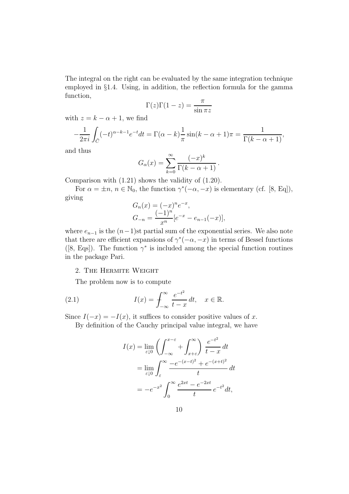The integral on the right can be evaluated by the same integration technique employed in §1.4. Using, in addition, the reflection formula for the gamma function,

$$
\Gamma(z)\Gamma(1-z) = \frac{\pi}{\sin \pi z}
$$

with  $z = k - \alpha + 1$ , we find

$$
-\frac{1}{2\pi i} \int_{\tilde{C}} (-t)^{\alpha-k-1} e^{-t} dt = \Gamma(\alpha-k) \frac{1}{\pi} \sin((k-\alpha+1)\pi) = \frac{1}{\Gamma(k-\alpha+1)},
$$

and thus

$$
G_{\alpha}(x) = \sum_{k=0}^{\infty} \frac{(-x)^k}{\Gamma(k - \alpha + 1)}.
$$

Comparison with (1.21) shows the validity of (1.20).

For  $\alpha = \pm n$ ,  $n \in \mathbb{N}_0$ , the function  $\gamma^*(-\alpha, -x)$  is elementary (cf. [8, Eq]), giving

$$
G_n(x) = (-x)^n e^{-x},
$$
  
\n
$$
G_{-n} = \frac{(-1)^n}{x^n} [e^{-x} - e_{n-1}(-x)],
$$

where  $e_{n-1}$  is the  $(n-1)$ st partial sum of the exponential series. We also note that there are efficient expansions of  $\gamma^*(-\alpha, -x)$  in terms of Bessel functions ([8, Eqs]). The function  $\gamma^*$  is included among the special function routines in the package Pari.

#### 2. The Hermite Weight

The problem now is to compute

(2.1) 
$$
I(x) = \int_{-\infty}^{\infty} \frac{e^{-t^2}}{t - x} dt, \quad x \in \mathbb{R}.
$$

Since  $I(-x) = -I(x)$ , it suffices to consider positive values of x.

By definition of the Cauchy principal value integral, we have

$$
I(x) = \lim_{\varepsilon \downarrow 0} \left( \int_{-\infty}^{x-\varepsilon} + \int_{x+\varepsilon}^{\infty} \right) \frac{e^{-t^2}}{t-x} dt
$$
  
= 
$$
\lim_{\varepsilon \downarrow 0} \int_{\varepsilon}^{\infty} \frac{-e^{-(x-t)^2} + e^{-(x+t)^2}}{t} dt
$$
  
= 
$$
-e^{-x^2} \int_{0}^{\infty} \frac{e^{2xt} - e^{-2xt}}{t} e^{-t^2} dt,
$$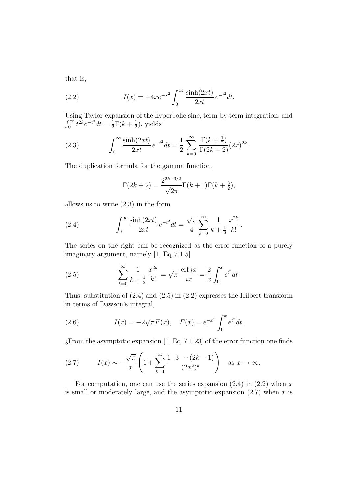that is,

(2.2) 
$$
I(x) = -4xe^{-x^2} \int_0^\infty \frac{\sinh(2xt)}{2xt} e^{-t^2} dt.
$$

Using Taylor expansion of the hyperbolic sine, term-by-term integration, and  $\int_0^\infty t^{2k} e^{-t^2} dt = \frac{1}{2}$  $\frac{1}{2}\Gamma(k+\frac{1}{2})$  $(\frac{1}{2})$ , yields

(2.3) 
$$
\int_0^\infty \frac{\sinh(2xt)}{2xt} e^{-t^2} dt = \frac{1}{2} \sum_{k=0}^\infty \frac{\Gamma(k+\frac{1}{2})}{\Gamma(2k+2)} (2x)^{2k}.
$$

The duplication formula for the gamma function,

$$
\Gamma(2k+2) = \frac{2^{2k+3/2}}{\sqrt{2\pi}}\Gamma(k+1)\Gamma(k+\frac{3}{2}),
$$

allows us to write (2.3) in the form

(2.4) 
$$
\int_0^\infty \frac{\sinh(2xt)}{2xt} e^{-t^2} dt = \frac{\sqrt{\pi}}{4} \sum_{k=0}^\infty \frac{1}{k + \frac{1}{2}} \frac{x^{2k}}{k!}.
$$

The series on the right can be recognized as the error function of a purely imaginary argument, namely [1, Eq. 7.1.5]

(2.5) 
$$
\sum_{k=0}^{\infty} \frac{1}{k + \frac{1}{2}} \frac{x^{2k}}{k!} = \sqrt{\pi} \frac{\text{erf } ix}{ix} = \frac{2}{x} \int_0^x e^{t^2} dt.
$$

Thus, substitution of  $(2.4)$  and  $(2.5)$  in  $(2.2)$  expresses the Hilbert transform in terms of Dawson's integral,

(2.6) 
$$
I(x) = -2\sqrt{\pi}F(x), \quad F(x) = e^{-x^2} \int_0^x e^{t^2} dt.
$$

 $\chi$ From the asymptotic expansion [1, Eq. 7.1.23] of the error function one finds

(2.7) 
$$
I(x) \sim -\frac{\sqrt{\pi}}{x} \left( 1 + \sum_{k=1}^{\infty} \frac{1 \cdot 3 \cdots (2k-1)}{(2x^2)^k} \right) \text{ as } x \to \infty.
$$

For computation, one can use the series expansion  $(2.4)$  in  $(2.2)$  when x is small or moderately large, and the asymptotic expansion  $(2.7)$  when x is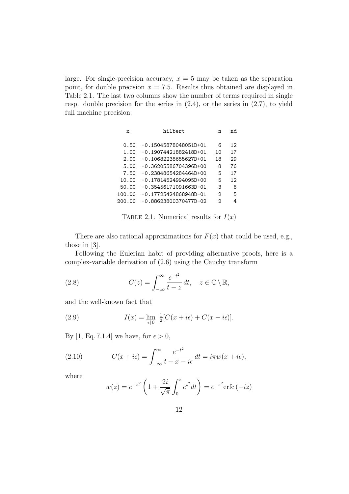large. For single-precision accuracy,  $x = 5$  may be taken as the separation point, for double precision  $x = 7.5$ . Results thus obtained are displayed in Table 2.1. The last two columns show the number of terms required in single resp. double precision for the series in  $(2.4)$ , or the series in  $(2.7)$ , to yield full machine precision.

| hilbert<br>X            |    | nd |  |
|-------------------------|----|----|--|
|                         |    |    |  |
| $-0.15045878048051D+01$ | 6  | 12 |  |
| $-0.19074421882418D+01$ | 10 | 17 |  |
| $-0.10682238655627D+01$ | 18 | 29 |  |
| $-0.36205586704396D+00$ | 8  | 76 |  |
| $-0.23848654284464D+00$ | 5  | 17 |  |
| $-0.17814524994095D+00$ | 5  | 12 |  |
| $-0.35456171091663D-01$ | 3  | 6  |  |
| $-0.17725424868948D-01$ | 2  | 5  |  |
| $-0.88623800370477D-02$ | 2  | 4  |  |
|                         |    | n  |  |

TABLE 2.1. Numerical results for  $I(x)$ 

There are also rational approximations for  $F(x)$  that could be used, e.g., those in [3].

Following the Eulerian habit of providing alternative proofs, here is a complex-variable derivation of (2.6) using the Cauchy transform

(2.8) 
$$
C(z) = \int_{-\infty}^{\infty} \frac{e^{-t^2}}{t - z} dt, \quad z \in \mathbb{C} \setminus \mathbb{R},
$$

and the well-known fact that

(2.9) 
$$
I(x) = \lim_{\epsilon \downarrow 0} \frac{1}{2} [C(x + i\epsilon) + C(x - i\epsilon)].
$$

By [1, Eq. 7.1.4] we have, for  $\epsilon > 0$ ,

(2.10) 
$$
C(x + i\epsilon) = \int_{-\infty}^{\infty} \frac{e^{-t^2}}{t - x - i\epsilon} dt = i\pi w(x + i\epsilon),
$$

where

$$
w(z) = e^{-z^2} \left( 1 + \frac{2i}{\sqrt{\pi}} \int_0^z e^{t^2} dt \right) = e^{-z^2} \text{erfc}(-iz)
$$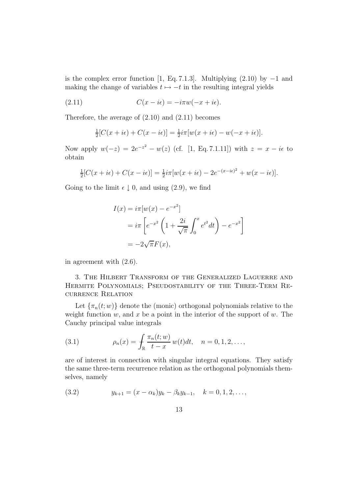is the complex error function [1, Eq. 7.1.3]. Multiplying  $(2.10)$  by  $-1$  and making the change of variables  $t \mapsto -t$  in the resulting integral yields

(2.11) 
$$
C(x - i\epsilon) = -i\pi w(-x + i\epsilon).
$$

Therefore, the average of (2.10) and (2.11) becomes

$$
\frac{1}{2}[C(x+i\epsilon)+C(x-i\epsilon)]=\frac{1}{2}i\pi[w(x+i\epsilon)-w(-x+i\epsilon)].
$$

Now apply  $w(-z) = 2e^{-z^2} - w(z)$  (cf. [1, Eq. 7.1.11]) with  $z = x - i\epsilon$  to obtain

$$
\frac{1}{2}[C(x+i\epsilon)+C(x-i\epsilon)]=\frac{1}{2}i\pi[w(x+i\epsilon)-2e^{-(x-i\epsilon)^2}+w(x-i\epsilon)].
$$

Going to the limit  $\epsilon \downarrow 0$ , and using (2.9), we find

$$
I(x) = i\pi [w(x) - e^{-x^2}]
$$
  
=  $i\pi \left[ e^{-x^2} \left( 1 + \frac{2i}{\sqrt{\pi}} \int_0^x e^{t^2} dt \right) - e^{-x^2} \right]$   
=  $-2\sqrt{\pi}F(x)$ ,

in agreement with (2.6).

3. The Hilbert Transform of the Generalized Laguerre and Hermite Polynomials; Pseudostability of the Three-Term Recurrence Relation

Let  $\{\pi_n(t; w)\}\$  denote the (monic) orthogonal polynomials relative to the weight function  $w$ , and  $x$  be a point in the interior of the support of  $w$ . The Cauchy principal value integrals

(3.1) 
$$
\rho_n(x) = \int_{\mathbb{R}} \frac{\pi_n(t; w)}{t - x} w(t) dt, \quad n = 0, 1, 2, \dots,
$$

are of interest in connection with singular integral equations. They satisfy the same three-term recurrence relation as the orthogonal polynomials themselves, namely

(3.2) 
$$
y_{k+1} = (x - \alpha_k)y_k - \beta_k y_{k-1}, \quad k = 0, 1, 2, \dots,
$$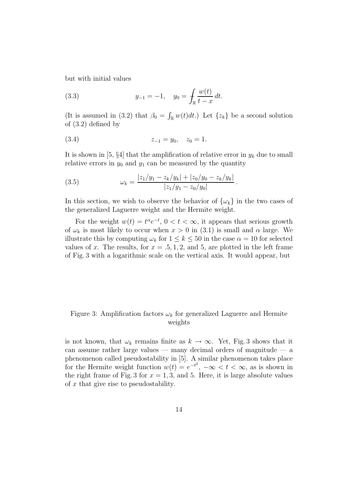but with initial values

(3.3) 
$$
y_{-1} = -1, \quad y_0 = \int_{\mathbb{R}} \frac{w(t)}{t - x} dt.
$$

(It is assumed in (3.2) that  $\beta_0 = \int_{\mathbb{R}} w(t) dt$ .) Let  $\{z_k\}$  be a second solution of (3.2) defined by

$$
(3.4) \t\t\t z_{-1} = y_0, \t z_0 = 1.
$$

It is shown in [5,  $\S 4$ ] that the amplification of relative error in  $y_k$  due to small relative errors in  $y_0$  and  $y_1$  can be measured by the quantity

(3.5) 
$$
\omega_k = \frac{|z_1/y_1 - z_k/y_k| + |z_0/y_0 - z_k/y_k|}{|z_1/y_1 - z_0/y_0|}
$$

In this section, we wish to observe the behavior of  $\{\omega_k\}$  in the two cases of the generalized Laguerre weight and the Hermite weight.

.

For the weight  $w(t) = t^{\alpha} e^{-t}$ ,  $0 < t < \infty$ , it appears that serious growth of  $\omega_k$  is most likely to occur when  $x > 0$  in (3.1) is small and  $\alpha$  large. We illustrate this by computing  $\omega_k$  for  $1 \leq k \leq 50$  in the case  $\alpha = 10$  for selected values of x. The results, for  $x = .5, 1, 2$ , and 5, are plotted in the left frame of Fig. 3 with a logarithmic scale on the vertical axis. It would appear, but

### Figure 3: Amplification factors  $\omega_k$  for generalized Laguerre and Hermite weights

is not known, that  $\omega_k$  remains finite as  $k \to \infty$ . Yet, Fig. 3 shows that it can assume rather large values — many decimal orders of magnitude — a phenomenon called pseudostability in [5]. A similar phenomenon takes place for the Hermite weight function  $w(t) = e^{-t^2}, -\infty < t < \infty$ , as is shown in the right frame of Fig. 3 for  $x = 1, 3$ , and 5. Here, it is large absolute values of  $x$  that give rise to pseudostability.